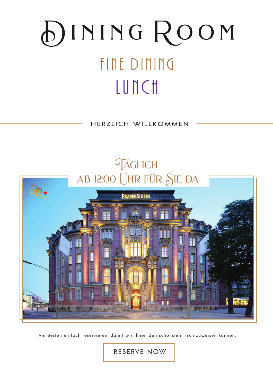# DINING ROOM FINE DINING LUNCH

HERZLICH WILLKOMMEN



Am Besten einfach reservieren, damit wir Ihnen den schönsten Tisch zuweisen können.

**https://services.org/restaurants/32782** https://services.gastronovi.com/restaurants/32782/reservierung/widget/entry/reservation#1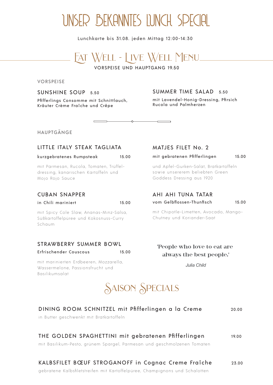## UNSER BEKANNTES LUNCH SPECIAL

Lunchkarte bis 31.08. jeden Mittag 12:00-14:30



VORSPEISE UND HAUPTGANG 19.50

VORSPEISE

SUNSHINE SOUP 5.50

Pfifferlings Consomme mit Schnittlauch, Kräuter Crème Fraîche und Crêpe

### SUMMER TIME SALAD 5.50

mit Lavendel-Honig-Dressing, Pfirsich Rucola und Palmherzen

HAUPTGÄNGE

### LITTLE ITALY STEAK TAGLIATA

### kurzgebratenes Rumpsteak 15.00

mit Parmesan, Rucola, Tomaten, Trüffeldressing, kanarischen Kartoffeln und Mojo Rojo Sauce

### CUBAN SNAPPER

### in Chili mariniert 15.00

mit Spicy Cole Slaw, Ananas-Minz-Salsa, Süßkartoffelpüree und Kokosnuss-Curry Schaum

### STRAWBERRY SUMMER BOWL

Erfrischender Couscous 15.00

Basilikumsalat

mit marinierten Erdbeeren, Mozzarella, Wassermelone, Passionsfrucht und

### MATJES FILET No. 2

mit gebratenen Pfifferlingen 15.00

und Apfel-Gurken-Salat, Bratkartoffeln sowie unsererem beliebten Green Goddess Dressing aus 1920

### AHI AHI TUNA TATAR vom Gelbflossen-Thunfisch 15.00

mit Chipotle-Limetten, Avocado, Mango-Chutney und Koriander-Saat

**'People who love to eat are always the best people.'**

*Julia Child*

## SAISON SPECIALS

| DINING ROOM SCHNITZEL mit Pfifferlingen a la Creme<br>in Butter geschwenkt mit Bratkartoffeln                                  | 20.00 |
|--------------------------------------------------------------------------------------------------------------------------------|-------|
| THE GOLDEN SPAGHETTINI mit gebratenen Pfifferlingen<br>mit Basilikum-Pesto, grünem Spargel, Parmesan und geschmolzenen Tomaten | 19.00 |
| KALBSFILET BŒUF STROGANOFF in Cognac Creme Fraîche                                                                             | 23.00 |

gebratene Kalbsfiletstreifen mit Kartoffelpüree, Champignons und Schalotten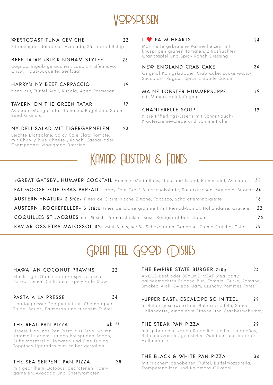

### WESTCOAST TUNA CEVICHE 22

Zitronengras, Jalapeno, Avocado, Süsskartoffelchip

### BEEF TATAR »BUCKINGHAM STYLE« 25

Cognac, Eigelb geräuchert, Lauch, Trüffelmayo, Crispy Haus-Baguette, Senfsaat

### HARRY's NY BEEF CARPACCIO 19

hand cut, Trüffel-Aioli, Rucola, Aged Parmesan

### TAVERN ON THE GREEN TATAR 19

Avocado-Mango Tatar, Tomaten, Bagelchip, Super Seed Granola

### NY DELI SALAD MIT TIGERGARNELEN 23

Leichte Blattsalate, Spicy Cole Slaw, Tomate, mit Chunky Blue Cheese-, Ranch, Caesar oder Champagner-Vinaigrette Dressing

### I PALM HEARTS 24

Marinierte gebratene Palmenherzen mit knusprigen grünen Tomaten, Zitrusfrüchten, Granatapfel und Spicy Ranch Dressing

### NEW ENGLAND CRAB CAKE 24

Original Königskrabben Crab Cake, Zucker-Mais-Succotash Ragout, Spicy Chipotle Sauce

| MAINE LOBSTER HUMMERSUPPE | 19 |
|---------------------------|----|
| mit Mango, Apfel, Cognac  |    |

### CHANTERELLE SOUP 19

Klare Pfifferlings-Essenz mit Schnittlauch-Kräutercreme-Crêpe und Sommertrüffel



| »GREAT GATSBY« HUMMER COCKTAIL Hummer-Medaillons, Thousand Island, Römersalat, Avocado             | 35 |
|----------------------------------------------------------------------------------------------------|----|
| FAT GOOSE FOIE GRAS PARFAIT Happy Foie Gras*, Bitterschokolade, Sauerkirschen, Mandeln, Brioche 30 |    |
| AUSTERN »NATUR« 3 Stück Fines de Claire frische Zitrone, Tabasco, Schalottenvinaigrette            | 18 |
| AUSTERN »ROCKEFELLER« 3 Stück Fines de Claire gratiniert mit Pernod-Spinat, Hollandaise, Gruyere   | 22 |
| COQUILLES ST JACQUES mit Pfirsich, Parmaschinken, Basil, Königskrabbenschaum                       | 26 |
| KAVIAR OSSIETRA MALOSSOL 30g Mini-Blinis, weiße Schokoladen-Ganache, Creme-Fraiche, Chips          | 79 |

## GREAT FEEL GOOD DISHES

### HAWAIIAN COCONUT PRAWNS 22

Black Tiger Garnelen in Crispy Kokosnuss-Panko, Lemon Chilisauce, Spicy Cole Slaw

### PASTA A LA PRESSE 34

Handgepresste Spaghettini mit Champagner-Trüffel-Sauce , Parmesan und frischem Trüffel

### THE REAL PAN PIZZA qb 11

Unsere Lieblings-Pan-Pizza aus Brooklyn mit karamellisiertem luftigen knusprigen Boden, Büffelmozzarella , Tomaten und Fine Dining Toppings-Upgrades zum selber gestalten

### THE SEA SERPENT PAN PIZZA 28

mit gegrilltem Octopus, gebratenen Tigergarnelen, Avocado und Cherrytomaten

### THE EMPIRE STATE BURGER 220g 24

ANGUS-Beef oder BEYOND MEAT Steakpatty, hausgemachtes Brioche-Bun, Tomate, Gurke, Romana, Smoked Aioli, Zwiebel-Jam, Crunchy Pommes Frites

### »UPPER EAST« ESCALOPE SCHNITZEL 2 9

in Butter geschwenkt mit Butterkartoffeln, Sauce Hollandaise, eingelegte Zitrone und Cranberrychutney

### THE STEAK PAN PIZZA 29

mit gebratenen zarten Rinderfiletstreifen, Jalapeños, Büffelmozzarella, gerösteten Zwiebeln und leckerer Hollandaise

### THE BLACK & WHITE PAN PIZZA 34

mit frischem gehobelten Trüffel, Büffelmozzarella, Trompetenpilzen und Kalamata Olivenöl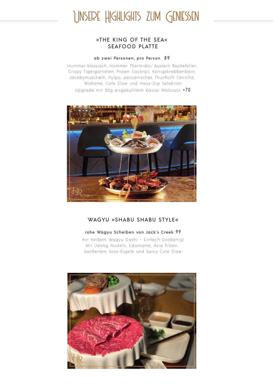## Unsere Highlights zum Geniessen

### »THE KING OF THE SEA« SEAFOOD PLATTE

### ab zwei Personen, pro Person 8 9

Hummer klassisch, Hummer Thermidor, Austern Rockefeller, Crispy Tigergarnelen, Prawn Cocktail, Königskrabbenbein, Jacobsmuscheln, Pulpo, peruanisches Thunfisch Ceviche, Wakame, Cole Slaw und Haus-Dip Selektion Upgrade mit 30g eisgekühltem Kaviar Malossol <sup>+</sup> 7 0



### WAGYU »SHABU SHABU STYLE«

### rohe Wagyu Scheiben von Jack's Creek 99

mit heißem Wagyu Dashi - Einfach Großartig! Mit Udong Nudeln, Edamame, Asia Pilzen, konfiertem Soja-Eigelb und Spicy Cole Slaw

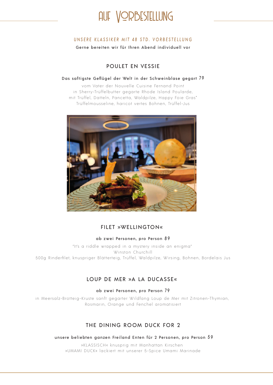

### UNSERE KLASSIKER MIT 48 STD. VORBESTELLUNG

Gerne bereiten wir für Ihren Abend individuell vor

### POULET EN VESSIE

### Das saftigste Geflügel der Welt in der Schweinblase gegart 79

vom Vater der Nouvelle Cuisine Fernand Point in Sherry-Trüffelbutter gegarte Rhode Island Poularde, mit Trüffel, Datteln, Pancetta, Waldpilze, Happy Foie Gras\* Trüffelmousseline, haricot vertes Bohnen, Trüffel-Jus



### FILET »WELLINGTON«

### ab zwei Personen, pro Person 8 9

"It's a riddle wrapped in a mystery inside an enigma" Winston Churchill 500g Rinderfilet, knuspriger Blätterteig , Trüffel , Waldpilze , Wirsing , Bohnen , Bordelais Jus

### LOUP DE MER »A LA DUCASSE«

### ab zwei Personen, pro Person 79

in Meersalz-Brotteig-Kruste sanft gegarter Wildfang Loup de Mer mit Zitronen-Thymian, Rosmarin, Orange und Fenchel aromatisiert

### THE DINING ROOM DUCK FOR 2

unsere beliebten ganzen Freiland Enten für 2 Personen, pro Person 5 9

»KLASSISCH« knusprig mit Manhattan Kirschen »UMAMI DUCK« lackiert mit unserer 5-Spice Umami Marinade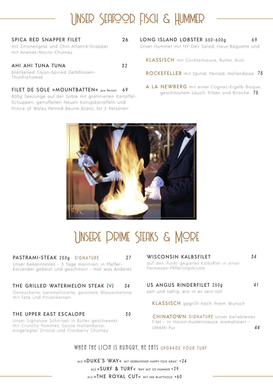## Unser Seafood, Fisch & Hummer

| SPICA RED SNAPPER FILET<br>mit Zitronengras und Chili Atlantik-Snapper<br>mit Ananas-Mojito-Chutney | 26 |
|-----------------------------------------------------------------------------------------------------|----|
| AHI AHI TUNA TUNA<br>blackened Cajun-Spiced Gelbflossen-<br>Thunfischsteak                          | 32 |
| FILET DE SOLE »MOUNTBATTEN« pro Person<br>800g Soozungo quf dor Gräto mit gratinierten Kartoffe     | 69 |

800g Seezunge auf der Gräte mit gratinierten Kartoffel-Schuppen, getrüffelten Neuen Königskartoffeln und Prince of Wales Pernod Beurre blanc, für 2 Personen

LONG ISLAND LOBSTER 550-600g 69 Unser Hummer mit NY Deli Salad, Haus-Baguette und

KLASSISCH mit Cocktailsauce, Butter, Aioli

ROCKEFELLER mit Spinat, Pernod, Hollandaise 75

 A LA NEWBERG mit einer Cognac-Eigelb Bisque, geschmortem Lauch, Pilzen und Brioche 75



## Unsere Prime Steaks & More

27

### PASTRAMI-STEAK 250g SIGNATURE

Un ser bekanntestes - 3 Tage mariniert, in Pfeffer-Koriander gebeizt und geschmort - mal was Anderes

### THE GRILLED WATERMELON STEAK (V) 34

Geräucherte , karamellisierte , geröstete Wassermelone mit Feta und Pinienkernen

### THE UPPER EAST ESCALOPE 30

Unser Signature Schnitzel in Butter geschwenkt mit Crunchy Pommes, Sauce Hollandaise, eingelegter Zitrone und Cranberry Chutney

WISCONSIN KALBSFILET 34 auf den Punkt gegartes Kalbsfilet in einer Parmesan-Pfifferlingskruste

### US ANGUS RINDERFILET 250g 41

zart und saftig, wie in es sein soll

KLASSISCH gegrillt nach Ihrem Wunsch

CHINATOWN SIGNATURE Unser beliebtestes Filet - in Hoisin-Austernsauce aromatisiert -UMAMI Pur **44** 

### WHEN THE LION IS HUNGRY, HE ENTS UPGRADE YOUR TURE

ALS »DUKE'S WAY« MIT GEBRATENER HAPPY FOIE GRAS' +24 ALS »SURF & TURF« WAY MIT 1/2 HUMMER + 29 ALS »THE ROYAL CUT« MIT 24K BLATTGOLD +60